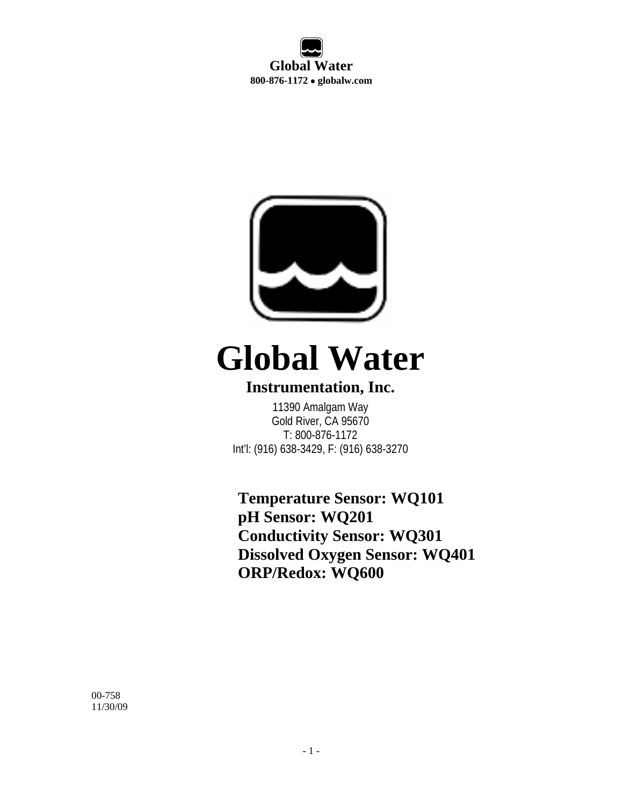**Global Water 800-876-1172** • **globalw.com** 



# **Global Water**

#### **Instrumentation, Inc.**

11390 Amalgam Way Gold River, CA 95670 T: 800-876-1172 Int'l: (916) 638-3429, F: (916) 638-3270

**Temperature Sensor: WQ101 pH Sensor: WQ201 Conductivity Sensor: WQ301 Dissolved Oxygen Sensor: WQ401 ORP/Redox: WQ600** 

00-758 11/30/09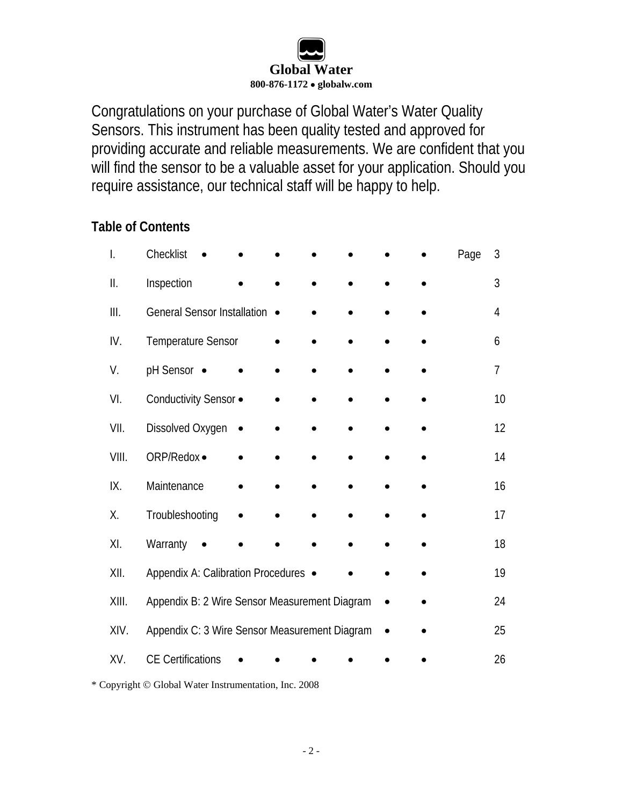

Congratulations on your purchase of Global Water's Water Quality Sensors. This instrument has been quality tested and approved for providing accurate and reliable measurements. We are confident that you will find the sensor to be a valuable asset for your application. Should you require assistance, our technical staff will be happy to help.

#### **Table of Contents**

| I.    | Checklist                                     |  |  |  | Page | 3              |
|-------|-----------------------------------------------|--|--|--|------|----------------|
| Ⅱ.    | Inspection                                    |  |  |  |      | 3              |
| III.  | <b>General Sensor Installation</b>            |  |  |  |      | 4              |
| IV.   | Temperature Sensor                            |  |  |  |      | 6              |
| V.    | pH Sensor •                                   |  |  |  |      | $\overline{7}$ |
| VI.   | Conductivity Sensor .                         |  |  |  |      | 10             |
| VII.  | Dissolved Oxygen                              |  |  |  |      | 12             |
| VIII. | ORP/Redox ·                                   |  |  |  |      | 14             |
| IX.   | Maintenance                                   |  |  |  |      | 16             |
| Χ.    | Troubleshooting                               |  |  |  |      | 17             |
| XI.   | Warranty                                      |  |  |  |      | 18             |
| XII.  | Appendix A: Calibration Procedures ●          |  |  |  |      | 19             |
| XIII. | Appendix B: 2 Wire Sensor Measurement Diagram |  |  |  |      | 24             |
| XIV.  | Appendix C: 3 Wire Sensor Measurement Diagram |  |  |  |      | 25             |
| XV.   | <b>CE Certifications</b>                      |  |  |  |      | 26             |

\* Copyright © Global Water Instrumentation, Inc. 2008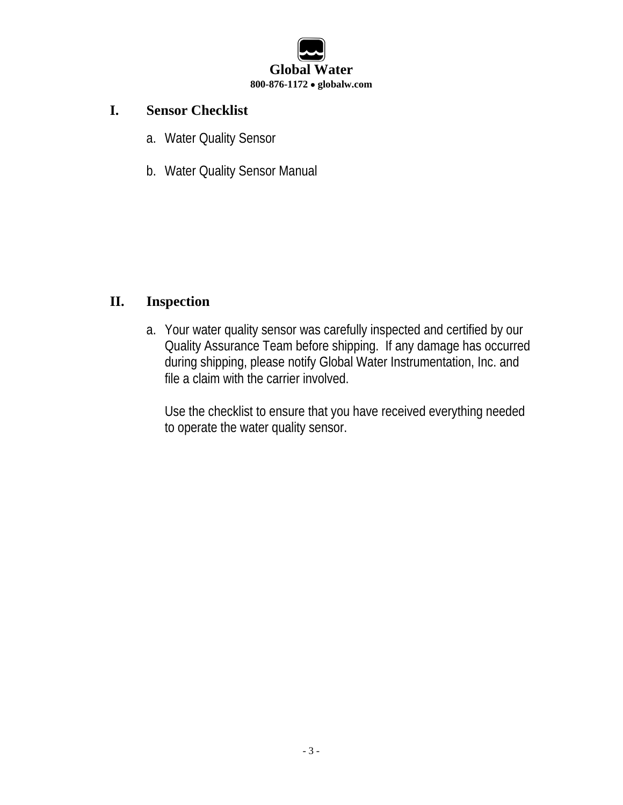

#### **I. Sensor Checklist**

- a. Water Quality Sensor
- b. Water Quality Sensor Manual

#### **II. Inspection**

a. Your water quality sensor was carefully inspected and certified by our Quality Assurance Team before shipping. If any damage has occurred during shipping, please notify Global Water Instrumentation, Inc. and file a claim with the carrier involved.

Use the checklist to ensure that you have received everything needed to operate the water quality sensor.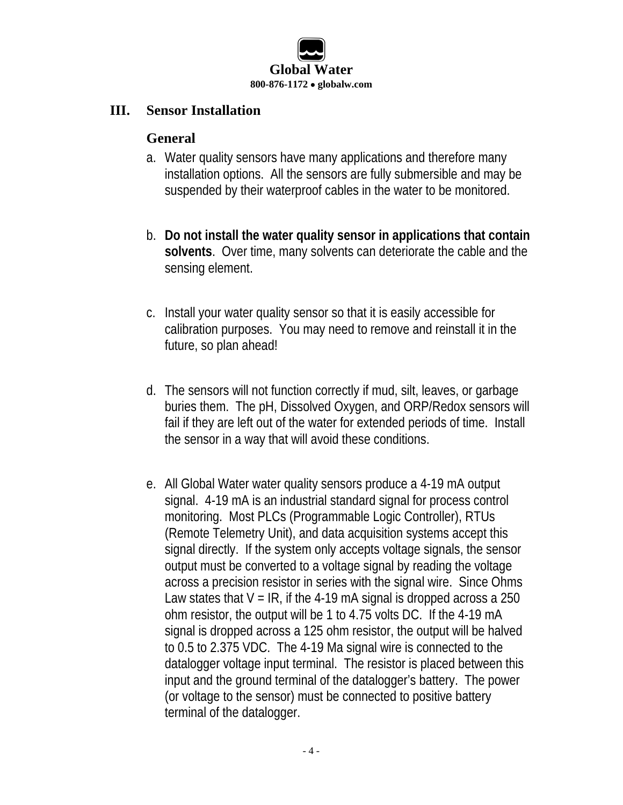

#### **III. Sensor Installation**

#### **General**

- a. Water quality sensors have many applications and therefore many installation options. All the sensors are fully submersible and may be suspended by their waterproof cables in the water to be monitored.
- b. **Do not install the water quality sensor in applications that contain solvents**. Over time, many solvents can deteriorate the cable and the sensing element.
- c. Install your water quality sensor so that it is easily accessible for calibration purposes. You may need to remove and reinstall it in the future, so plan ahead!
- d. The sensors will not function correctly if mud, silt, leaves, or garbage buries them. The pH, Dissolved Oxygen, and ORP/Redox sensors will fail if they are left out of the water for extended periods of time. Install the sensor in a way that will avoid these conditions.
- e. All Global Water water quality sensors produce a 4-19 mA output signal. 4-19 mA is an industrial standard signal for process control monitoring. Most PLCs (Programmable Logic Controller), RTUs (Remote Telemetry Unit), and data acquisition systems accept this signal directly. If the system only accepts voltage signals, the sensor output must be converted to a voltage signal by reading the voltage across a precision resistor in series with the signal wire. Since Ohms Law states that  $V = IR$ , if the 4-19 mA signal is dropped across a 250 ohm resistor, the output will be 1 to 4.75 volts DC. If the 4-19 mA signal is dropped across a 125 ohm resistor, the output will be halved to 0.5 to 2.375 VDC. The 4-19 Ma signal wire is connected to the datalogger voltage input terminal. The resistor is placed between this input and the ground terminal of the datalogger's battery. The power (or voltage to the sensor) must be connected to positive battery terminal of the datalogger.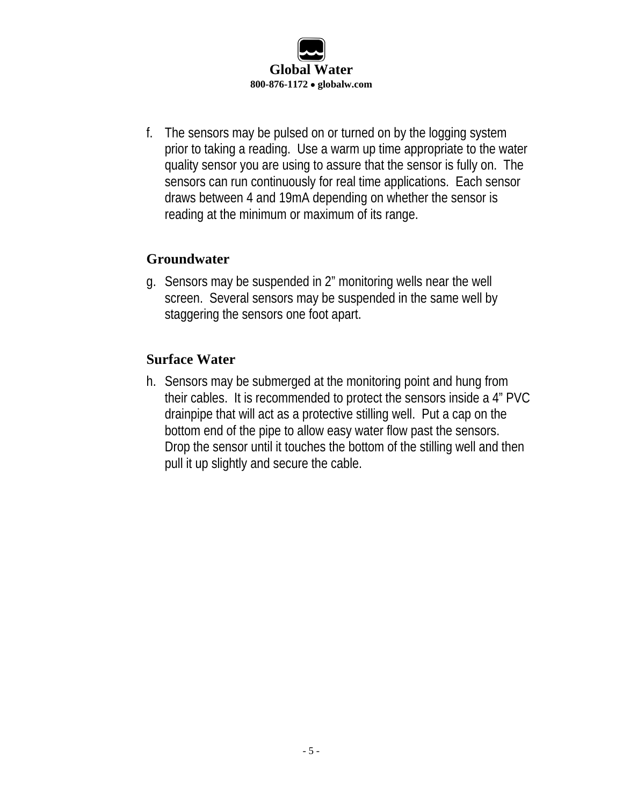

f. The sensors may be pulsed on or turned on by the logging system prior to taking a reading. Use a warm up time appropriate to the water quality sensor you are using to assure that the sensor is fully on. The sensors can run continuously for real time applications. Each sensor draws between 4 and 19mA depending on whether the sensor is reading at the minimum or maximum of its range.

#### **Groundwater**

g. Sensors may be suspended in 2" monitoring wells near the well screen. Several sensors may be suspended in the same well by staggering the sensors one foot apart.

#### **Surface Water**

h. Sensors may be submerged at the monitoring point and hung from their cables. It is recommended to protect the sensors inside a 4" PVC drainpipe that will act as a protective stilling well. Put a cap on the bottom end of the pipe to allow easy water flow past the sensors. Drop the sensor until it touches the bottom of the stilling well and then pull it up slightly and secure the cable.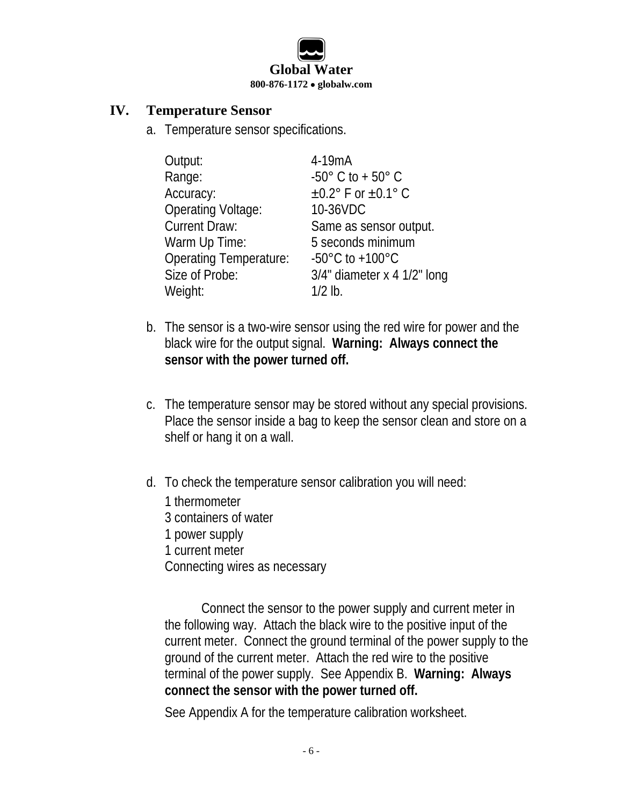

#### **IV. Temperature Sensor**

a. Temperature sensor specifications.

| Output:                       | 4-19mA                              |
|-------------------------------|-------------------------------------|
| Range:                        | $-50^{\circ}$ C to + $50^{\circ}$ C |
| Accuracy:                     | $\pm 0.2$ ° F or $\pm 0.1$ ° C      |
| <b>Operating Voltage:</b>     | 10-36VDC                            |
| <b>Current Draw:</b>          | Same as sensor output.              |
| Warm Up Time:                 | 5 seconds minimum                   |
| <b>Operating Temperature:</b> | $-50^{\circ}$ C to $+100^{\circ}$ C |
| Size of Probe:                | $3/4$ " diameter x 4 $1/2$ " long   |
| Weight:                       | $1/2$ lb.                           |

- b. The sensor is a two-wire sensor using the red wire for power and the black wire for the output signal. **Warning: Always connect the sensor with the power turned off.**
- c. The temperature sensor may be stored without any special provisions. Place the sensor inside a bag to keep the sensor clean and store on a shelf or hang it on a wall.
- d. To check the temperature sensor calibration you will need:
	- 1 thermometer 3 containers of water
	- 1 power supply
	- 1 current meter

Connecting wires as necessary

Connect the sensor to the power supply and current meter in the following way. Attach the black wire to the positive input of the current meter. Connect the ground terminal of the power supply to the ground of the current meter. Attach the red wire to the positive terminal of the power supply. See Appendix B. **Warning: Always connect the sensor with the power turned off.**

See Appendix A for the temperature calibration worksheet.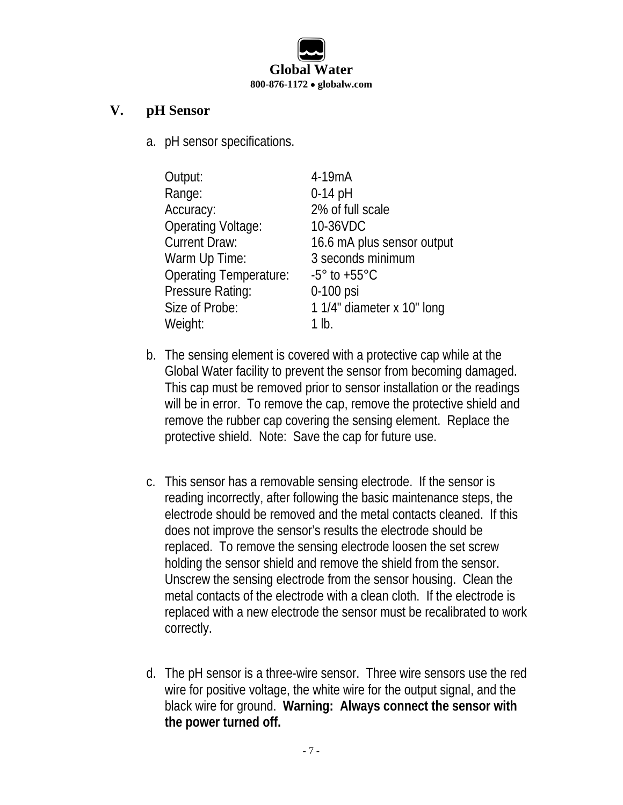

#### **V. pH Sensor**

a. pH sensor specifications.

| Output:                       | 4-19mA                          |
|-------------------------------|---------------------------------|
| Range:                        | $0-14$ pH                       |
| Accuracy:                     | 2% of full scale                |
| <b>Operating Voltage:</b>     | 10-36VDC                        |
| <b>Current Draw:</b>          | 16.6 mA plus sensor output      |
| Warm Up Time:                 | 3 seconds minimum               |
| <b>Operating Temperature:</b> | $-5^{\circ}$ to $+55^{\circ}$ C |
| Pressure Rating:              | 0-100 psi                       |
| Size of Probe:                | 1 1/4" diameter x 10" long      |
| Weight:                       | 1 lb.                           |

- b. The sensing element is covered with a protective cap while at the Global Water facility to prevent the sensor from becoming damaged. This cap must be removed prior to sensor installation or the readings will be in error. To remove the cap, remove the protective shield and remove the rubber cap covering the sensing element. Replace the protective shield. Note: Save the cap for future use.
- c. This sensor has a removable sensing electrode. If the sensor is reading incorrectly, after following the basic maintenance steps, the electrode should be removed and the metal contacts cleaned. If this does not improve the sensor's results the electrode should be replaced. To remove the sensing electrode loosen the set screw holding the sensor shield and remove the shield from the sensor. Unscrew the sensing electrode from the sensor housing. Clean the metal contacts of the electrode with a clean cloth. If the electrode is replaced with a new electrode the sensor must be recalibrated to work correctly.
- d. The pH sensor is a three-wire sensor. Three wire sensors use the red wire for positive voltage, the white wire for the output signal, and the black wire for ground. **Warning: Always connect the sensor with the power turned off.**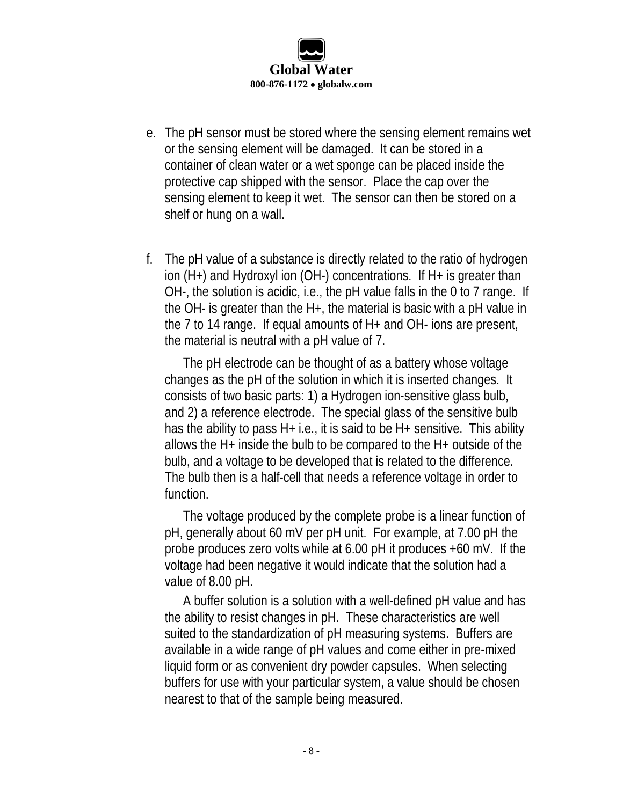

- e. The pH sensor must be stored where the sensing element remains wet or the sensing element will be damaged. It can be stored in a container of clean water or a wet sponge can be placed inside the protective cap shipped with the sensor. Place the cap over the sensing element to keep it wet. The sensor can then be stored on a shelf or hung on a wall.
- f. The pH value of a substance is directly related to the ratio of hydrogen ion (H+) and Hydroxyl ion (OH-) concentrations. If H+ is greater than OH-, the solution is acidic, i.e., the pH value falls in the 0 to 7 range. If the OH- is greater than the H+, the material is basic with a pH value in the 7 to 14 range. If equal amounts of H+ and OH- ions are present, the material is neutral with a pH value of 7.

The pH electrode can be thought of as a battery whose voltage changes as the pH of the solution in which it is inserted changes. It consists of two basic parts: 1) a Hydrogen ion-sensitive glass bulb, and 2) a reference electrode. The special glass of the sensitive bulb has the ability to pass  $H+$  i.e., it is said to be  $H+$  sensitive. This ability allows the H+ inside the bulb to be compared to the H+ outside of the bulb, and a voltage to be developed that is related to the difference. The bulb then is a half-cell that needs a reference voltage in order to function.

The voltage produced by the complete probe is a linear function of pH, generally about 60 mV per pH unit. For example, at 7.00 pH the probe produces zero volts while at 6.00 pH it produces +60 mV. If the voltage had been negative it would indicate that the solution had a value of 8.00 pH.

A buffer solution is a solution with a well-defined pH value and has the ability to resist changes in pH. These characteristics are well suited to the standardization of pH measuring systems. Buffers are available in a wide range of pH values and come either in pre-mixed liquid form or as convenient dry powder capsules. When selecting buffers for use with your particular system, a value should be chosen nearest to that of the sample being measured.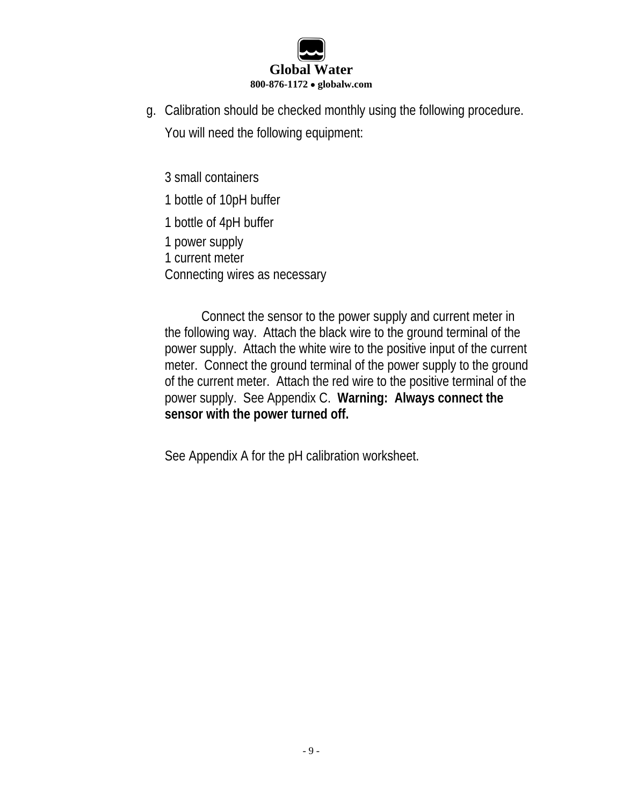

g. Calibration should be checked monthly using the following procedure. You will need the following equipment:

3 small containers

1 bottle of 10pH buffer

1 bottle of 4pH buffer

1 power supply

1 current meter

Connecting wires as necessary

Connect the sensor to the power supply and current meter in the following way. Attach the black wire to the ground terminal of the power supply. Attach the white wire to the positive input of the current meter. Connect the ground terminal of the power supply to the ground of the current meter. Attach the red wire to the positive terminal of the power supply. See Appendix C. **Warning: Always connect the sensor with the power turned off.**

See Appendix A for the pH calibration worksheet.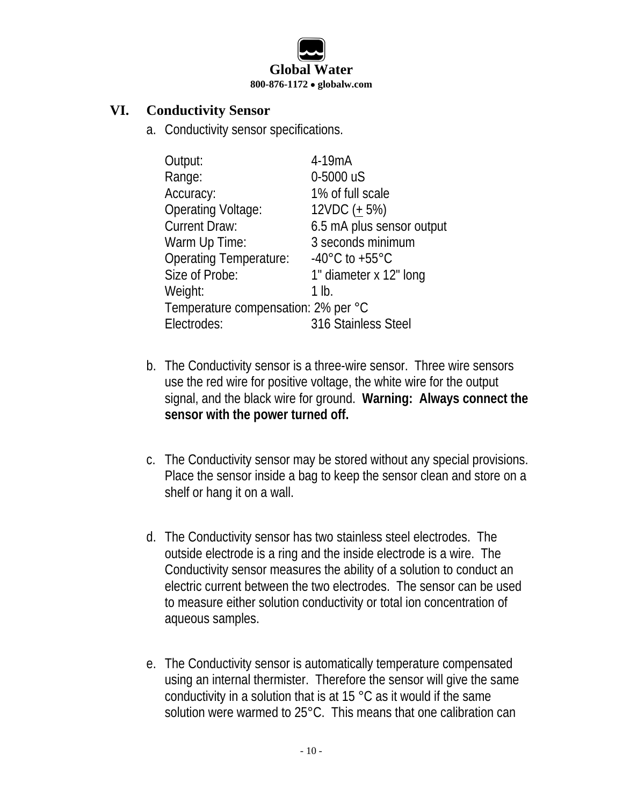

#### **VI. Conductivity Sensor**

a. Conductivity sensor specifications.

| Output:                             | 4-19mA                             |  |
|-------------------------------------|------------------------------------|--|
| Range:                              | 0-5000 uS                          |  |
| Accuracy:                           | 1% of full scale                   |  |
| <b>Operating Voltage:</b>           | $12VDC (+ 5%)$                     |  |
| <b>Current Draw:</b>                | 6.5 mA plus sensor output          |  |
| Warm Up Time:                       | 3 seconds minimum                  |  |
| <b>Operating Temperature:</b>       | $-40^{\circ}$ C to $+55^{\circ}$ C |  |
| Size of Probe:                      | 1" diameter x 12" long             |  |
| Weight:                             | 1 lb.                              |  |
| Temperature compensation: 2% per °C |                                    |  |
| Electrodes:                         | 316 Stainless Steel                |  |

- b. The Conductivity sensor is a three-wire sensor. Three wire sensors use the red wire for positive voltage, the white wire for the output signal, and the black wire for ground. **Warning: Always connect the sensor with the power turned off.**
- c. The Conductivity sensor may be stored without any special provisions. Place the sensor inside a bag to keep the sensor clean and store on a shelf or hang it on a wall.
- d. The Conductivity sensor has two stainless steel electrodes. The outside electrode is a ring and the inside electrode is a wire. The Conductivity sensor measures the ability of a solution to conduct an electric current between the two electrodes. The sensor can be used to measure either solution conductivity or total ion concentration of aqueous samples.
- e. The Conductivity sensor is automatically temperature compensated using an internal thermister. Therefore the sensor will give the same conductivity in a solution that is at 15 °C as it would if the same solution were warmed to 25°C. This means that one calibration can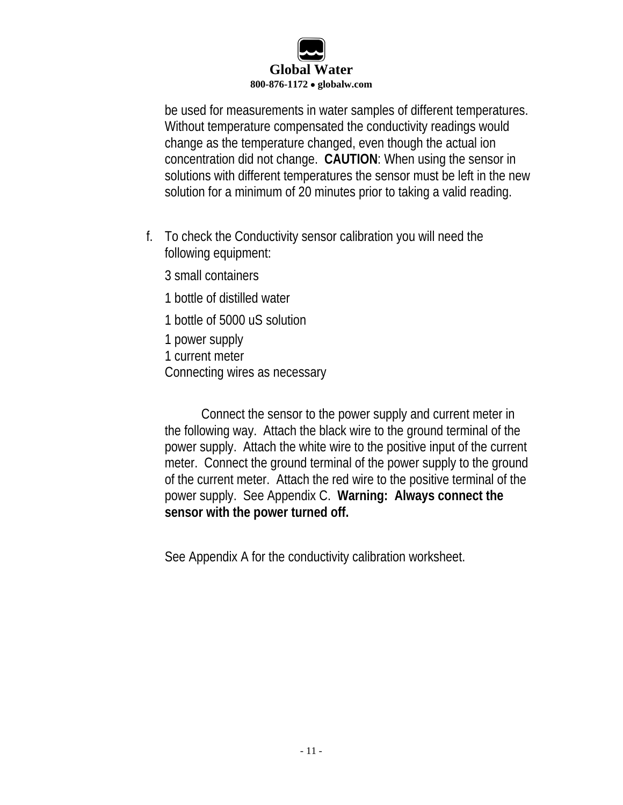

be used for measurements in water samples of different temperatures. Without temperature compensated the conductivity readings would change as the temperature changed, even though the actual ion concentration did not change. **CAUTION**: When using the sensor in solutions with different temperatures the sensor must be left in the new solution for a minimum of 20 minutes prior to taking a valid reading.

- f. To check the Conductivity sensor calibration you will need the following equipment:
	- 3 small containers
	- 1 bottle of distilled water
	- 1 bottle of 5000 uS solution
	- 1 power supply
	- 1 current meter
	- Connecting wires as necessary

Connect the sensor to the power supply and current meter in the following way. Attach the black wire to the ground terminal of the power supply. Attach the white wire to the positive input of the current meter. Connect the ground terminal of the power supply to the ground of the current meter. Attach the red wire to the positive terminal of the power supply. See Appendix C. **Warning: Always connect the sensor with the power turned off.**

See Appendix A for the conductivity calibration worksheet.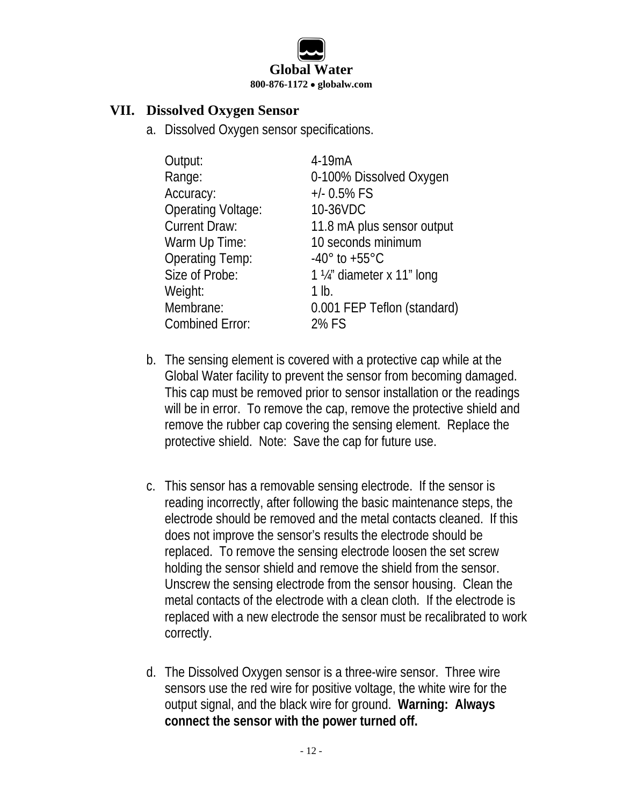

#### **VII. Dissolved Oxygen Sensor**

a. Dissolved Oxygen sensor specifications.

| Output:                   | 4-19mA                           |
|---------------------------|----------------------------------|
| Range:                    | 0-100% Dissolved Oxygen          |
| Accuracy:                 | $+/- 0.5\%$ FS                   |
| <b>Operating Voltage:</b> | 10-36VDC                         |
| <b>Current Draw:</b>      | 11.8 mA plus sensor output       |
| Warm Up Time:             | 10 seconds minimum               |
| <b>Operating Temp:</b>    | $-40^{\circ}$ to $+55^{\circ}$ C |
| Size of Probe:            | 1 1/4" diameter x 11" long       |
| Weight:                   | 1 lb.                            |
| Membrane:                 | 0.001 FEP Teflon (standard)      |
| <b>Combined Error:</b>    | 2% FS                            |

- b. The sensing element is covered with a protective cap while at the Global Water facility to prevent the sensor from becoming damaged. This cap must be removed prior to sensor installation or the readings will be in error. To remove the cap, remove the protective shield and remove the rubber cap covering the sensing element. Replace the protective shield. Note: Save the cap for future use.
- c. This sensor has a removable sensing electrode. If the sensor is reading incorrectly, after following the basic maintenance steps, the electrode should be removed and the metal contacts cleaned. If this does not improve the sensor's results the electrode should be replaced. To remove the sensing electrode loosen the set screw holding the sensor shield and remove the shield from the sensor. Unscrew the sensing electrode from the sensor housing. Clean the metal contacts of the electrode with a clean cloth. If the electrode is replaced with a new electrode the sensor must be recalibrated to work correctly.
- d. The Dissolved Oxygen sensor is a three-wire sensor. Three wire sensors use the red wire for positive voltage, the white wire for the output signal, and the black wire for ground. **Warning: Always connect the sensor with the power turned off.**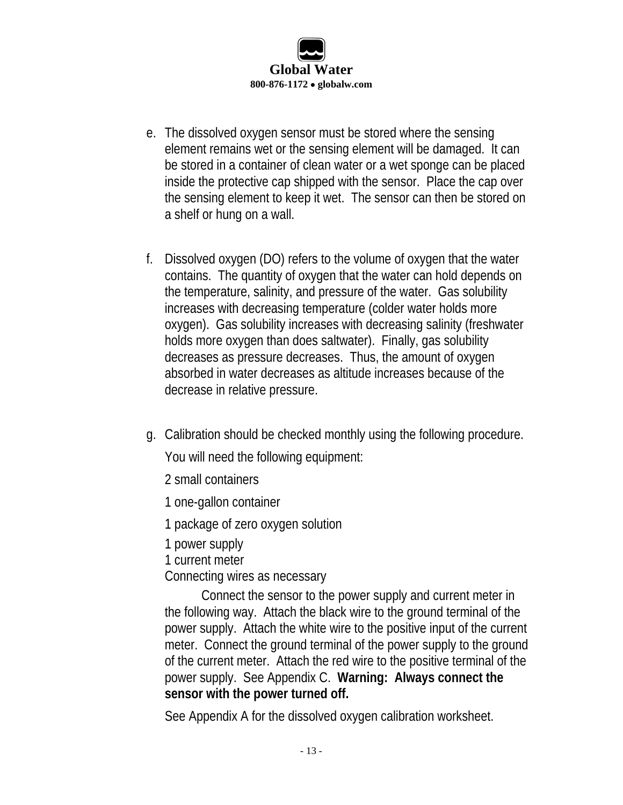

- e. The dissolved oxygen sensor must be stored where the sensing element remains wet or the sensing element will be damaged. It can be stored in a container of clean water or a wet sponge can be placed inside the protective cap shipped with the sensor. Place the cap over the sensing element to keep it wet. The sensor can then be stored on a shelf or hung on a wall.
- f. Dissolved oxygen (DO) refers to the volume of oxygen that the water contains. The quantity of oxygen that the water can hold depends on the temperature, salinity, and pressure of the water. Gas solubility increases with decreasing temperature (colder water holds more oxygen). Gas solubility increases with decreasing salinity (freshwater holds more oxygen than does saltwater). Finally, gas solubility decreases as pressure decreases. Thus, the amount of oxygen absorbed in water decreases as altitude increases because of the decrease in relative pressure.
- g. Calibration should be checked monthly using the following procedure.

You will need the following equipment:

- 2 small containers
- 1 one-gallon container
- 1 package of zero oxygen solution
- 1 power supply
- 1 current meter
- Connecting wires as necessary

Connect the sensor to the power supply and current meter in the following way. Attach the black wire to the ground terminal of the power supply. Attach the white wire to the positive input of the current meter. Connect the ground terminal of the power supply to the ground of the current meter. Attach the red wire to the positive terminal of the power supply. See Appendix C. **Warning: Always connect the sensor with the power turned off.**

See Appendix A for the dissolved oxygen calibration worksheet.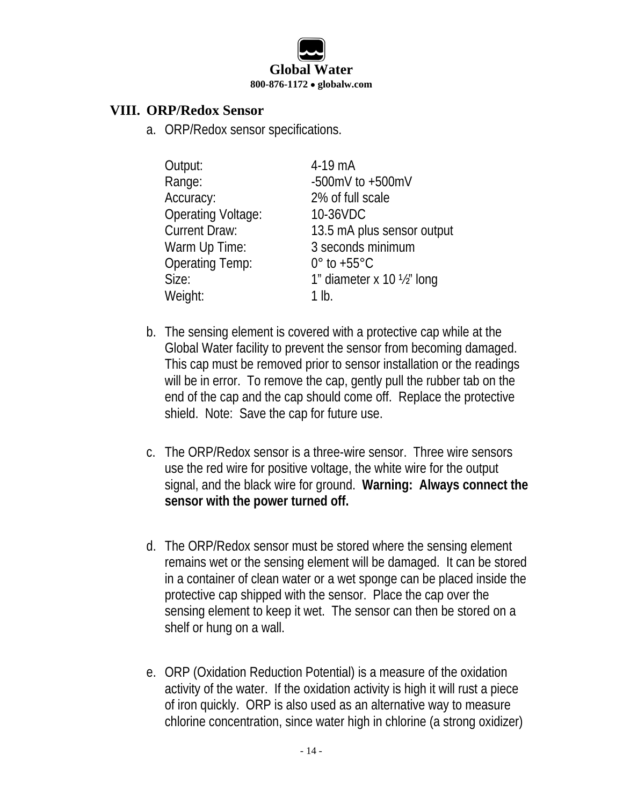

#### **VIII. ORP/Redox Sensor**

a. ORP/Redox sensor specifications.

| Output:                   | 4-19 mA                               |
|---------------------------|---------------------------------------|
| Range:                    | -500mV to $+500$ mV                   |
| Accuracy:                 | 2% of full scale                      |
| <b>Operating Voltage:</b> | 10-36VDC                              |
| <b>Current Draw:</b>      | 13.5 mA plus sensor output            |
| Warm Up Time:             | 3 seconds minimum                     |
| <b>Operating Temp:</b>    | $0^{\circ}$ to +55 $^{\circ}$ C       |
| Size:                     | 1" diameter x 10 $\frac{1}{2}$ " long |
| Weight:                   | 1 lb.                                 |

- b. The sensing element is covered with a protective cap while at the Global Water facility to prevent the sensor from becoming damaged. This cap must be removed prior to sensor installation or the readings will be in error. To remove the cap, gently pull the rubber tab on the end of the cap and the cap should come off. Replace the protective shield. Note: Save the cap for future use.
- c. The ORP/Redox sensor is a three-wire sensor. Three wire sensors use the red wire for positive voltage, the white wire for the output signal, and the black wire for ground. **Warning: Always connect the sensor with the power turned off.**
- d. The ORP/Redox sensor must be stored where the sensing element remains wet or the sensing element will be damaged. It can be stored in a container of clean water or a wet sponge can be placed inside the protective cap shipped with the sensor. Place the cap over the sensing element to keep it wet. The sensor can then be stored on a shelf or hung on a wall.
- e. ORP (Oxidation Reduction Potential) is a measure of the oxidation activity of the water. If the oxidation activity is high it will rust a piece of iron quickly. ORP is also used as an alternative way to measure chlorine concentration, since water high in chlorine (a strong oxidizer)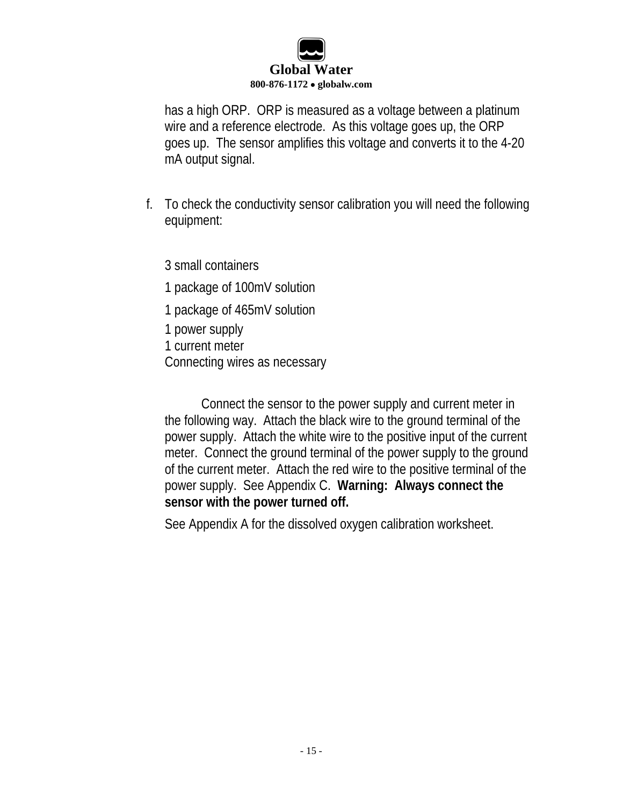

has a high ORP. ORP is measured as a voltage between a platinum wire and a reference electrode. As this voltage goes up, the ORP goes up. The sensor amplifies this voltage and converts it to the 4-20 mA output signal.

f. To check the conductivity sensor calibration you will need the following equipment:

3 small containers

- 1 package of 100mV solution
- 1 package of 465mV solution
- 1 power supply
- 1 current meter
- Connecting wires as necessary

Connect the sensor to the power supply and current meter in the following way. Attach the black wire to the ground terminal of the power supply. Attach the white wire to the positive input of the current meter. Connect the ground terminal of the power supply to the ground of the current meter. Attach the red wire to the positive terminal of the power supply. See Appendix C. **Warning: Always connect the sensor with the power turned off.**

See Appendix A for the dissolved oxygen calibration worksheet.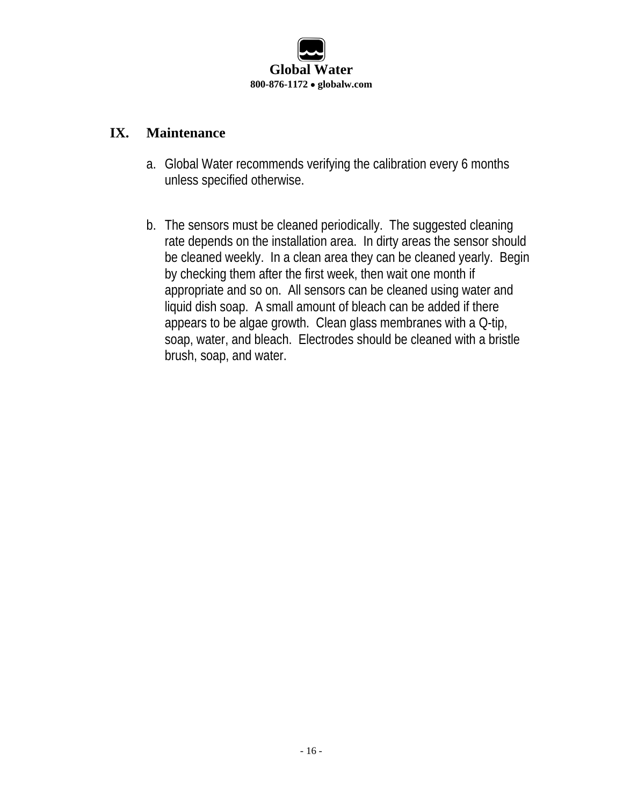

#### **IX. Maintenance**

- a. Global Water recommends verifying the calibration every 6 months unless specified otherwise.
- b. The sensors must be cleaned periodically. The suggested cleaning rate depends on the installation area. In dirty areas the sensor should be cleaned weekly. In a clean area they can be cleaned yearly. Begin by checking them after the first week, then wait one month if appropriate and so on. All sensors can be cleaned using water and liquid dish soap. A small amount of bleach can be added if there appears to be algae growth. Clean glass membranes with a Q-tip, soap, water, and bleach. Electrodes should be cleaned with a bristle brush, soap, and water.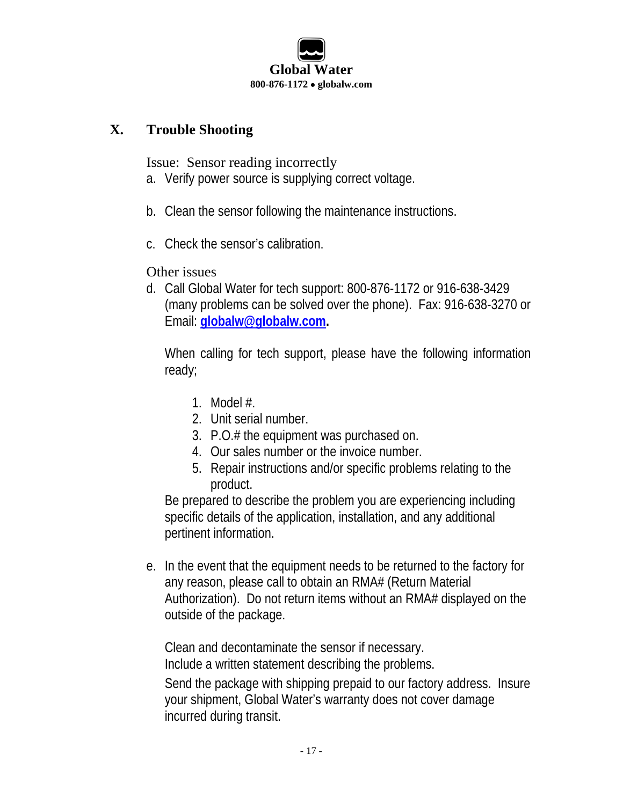

#### **X. Trouble Shooting**

Issue: Sensor reading incorrectly

- a. Verify power source is supplying correct voltage.
- b. Clean the sensor following the maintenance instructions.
- c. Check the sensor's calibration.

#### Other issues

d. Call Global Water for tech support: 800-876-1172 or 916-638-3429 (many problems can be solved over the phone). Fax: 916-638-3270 or Email: **globalw@globalw.com.**

When calling for tech support, please have the following information ready;

- 1. Model #.
- 2. Unit serial number.
- 3. P.O.# the equipment was purchased on.
- 4. Our sales number or the invoice number.
- 5. Repair instructions and/or specific problems relating to the product.

Be prepared to describe the problem you are experiencing including specific details of the application, installation, and any additional pertinent information.

e. In the event that the equipment needs to be returned to the factory for any reason, please call to obtain an RMA# (Return Material Authorization). Do not return items without an RMA# displayed on the outside of the package.

Clean and decontaminate the sensor if necessary. Include a written statement describing the problems.

Send the package with shipping prepaid to our factory address. Insure your shipment, Global Water's warranty does not cover damage incurred during transit.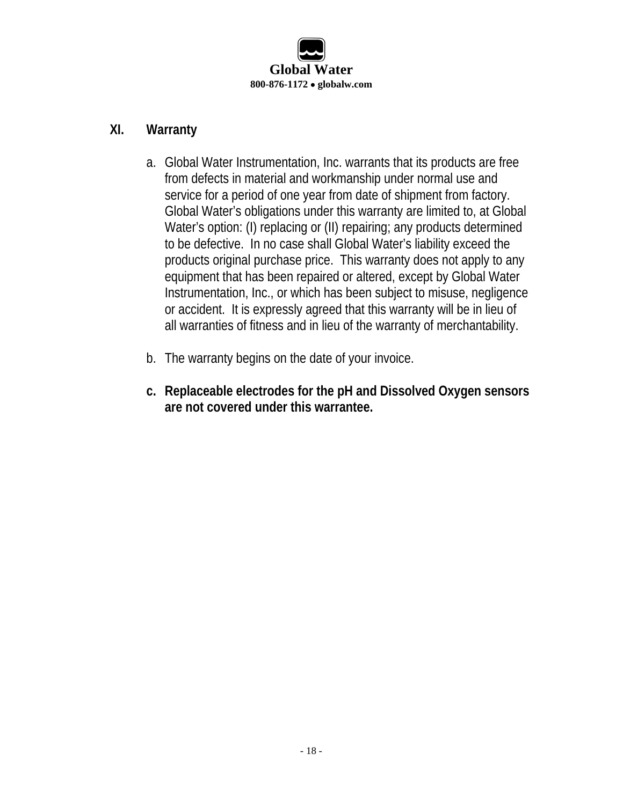

#### **XI. Warranty**

- a. Global Water Instrumentation, Inc. warrants that its products are free from defects in material and workmanship under normal use and service for a period of one year from date of shipment from factory. Global Water's obligations under this warranty are limited to, at Global Water's option: (I) replacing or (II) repairing; any products determined to be defective. In no case shall Global Water's liability exceed the products original purchase price. This warranty does not apply to any equipment that has been repaired or altered, except by Global Water Instrumentation, Inc., or which has been subject to misuse, negligence or accident. It is expressly agreed that this warranty will be in lieu of all warranties of fitness and in lieu of the warranty of merchantability.
- b. The warranty begins on the date of your invoice.
- **c. Replaceable electrodes for the pH and Dissolved Oxygen sensors are not covered under this warrantee.**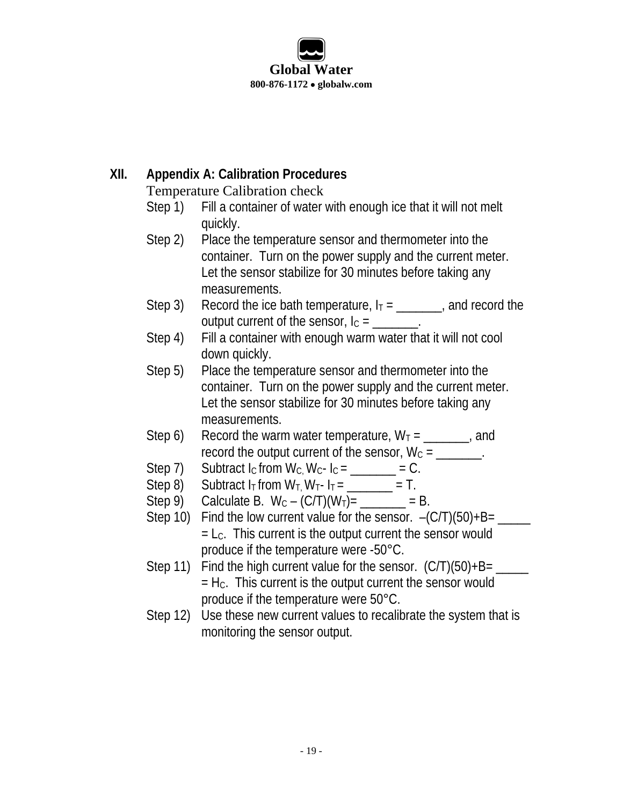## **Global Water 800-876-1172** • **globalw.com**

#### **XII. Appendix A: Calibration Procedures**

Temperature Calibration check

- Step 1) Fill a container of water with enough ice that it will not melt quickly.
- Step 2) Place the temperature sensor and thermometer into the container. Turn on the power supply and the current meter. Let the sensor stabilize for 30 minutes before taking any measurements.
- Step 3) Record the ice bath temperature,  $I_T =$  \_\_\_\_\_\_, and record the output current of the sensor,  $I_C =$  \_\_\_\_\_\_\_.
- Step 4) Fill a container with enough warm water that it will not cool down quickly.
- Step 5) Place the temperature sensor and thermometer into the container. Turn on the power supply and the current meter. Let the sensor stabilize for 30 minutes before taking any measurements.
- Step 6) Record the warm water temperature,  $W_T =$  \_\_\_\_\_\_, and record the output current of the sensor,  $W_c =$  \_\_\_\_\_\_\_.
- Step 7) Subtract  $I_c$  from  $W_c$ ,  $W_c$ - $I_c =$  \_\_\_\_\_\_\_ = C.
- Step 8) Subtract  $I_T$  from  $W_T$ ,  $W_T$   $I_T$  = \_\_\_\_\_\_\_\_ = T.
- Step 9) Calculate B.  $W_C (C/T)(W_T) =$  \_\_\_\_\_\_\_ = B.
- Step 10) Find the low current value for the sensor.  $-(C/T)(50)+B=$  \_\_\_\_\_\_\_  $= L<sub>C</sub>$ . This current is the output current the sensor would produce if the temperature were -50°C.
- Step 11) Find the high current value for the sensor.  $(C/T)(50)+B=$  $=$  H $_{\rm C}$ . This current is the output current the sensor would produce if the temperature were 50°C.
- Step 12) Use these new current values to recalibrate the system that is monitoring the sensor output.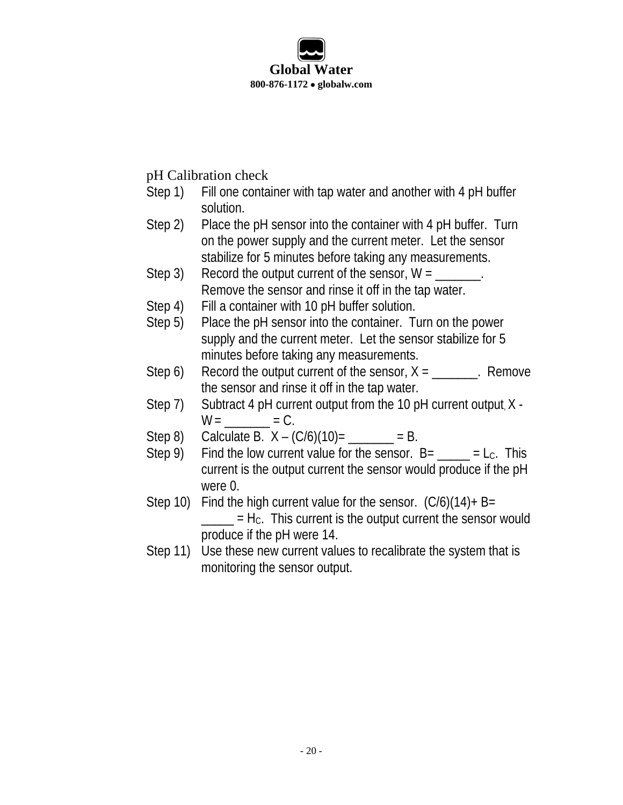

#### pH Calibration check

- Step 1) Fill one container with tap water and another with 4 pH buffer solution.
- Step 2) Place the pH sensor into the container with 4 pH buffer. Turn on the power supply and the current meter. Let the sensor stabilize for 5 minutes before taking any measurements.
- Step 3) Record the output current of the sensor,  $W =$ Remove the sensor and rinse it off in the tap water.
- Step 4) Fill a container with 10 pH buffer solution.
- Step 5) Place the pH sensor into the container. Turn on the power supply and the current meter. Let the sensor stabilize for 5 minutes before taking any measurements.
- Step 6) Record the output current of the sensor,  $X =$  \_\_\_\_\_\_\_. Remove the sensor and rinse it off in the tap water.
- Step 7) Subtract 4 pH current output from the 10 pH current output, X  $W =$   $= C$ .
- Step 8) Calculate B.  $X (C/6)(10) =$  \_\_\_\_\_\_\_ = B.
- Step 9) Find the low current value for the sensor.  $B =$  \_\_\_\_\_ = L<sub>C</sub>. This current is the output current the sensor would produce if the pH were 0.
- Step 10) Find the high current value for the sensor.  $(C/6)(14)$ + B=  $\mathcal{L} = H_c$ . This current is the output current the sensor would produce if the pH were 14.
- Step 11) Use these new current values to recalibrate the system that is monitoring the sensor output.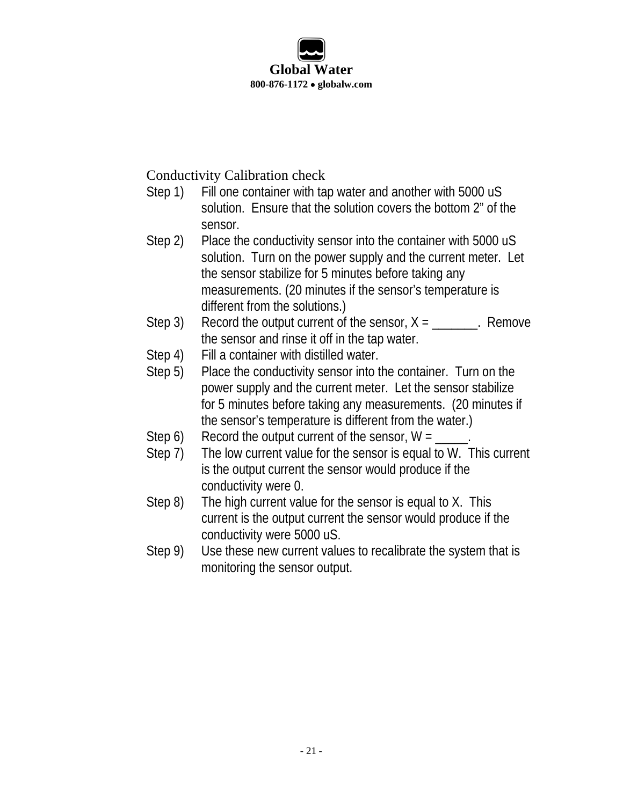

Conductivity Calibration check

- Step 1) Fill one container with tap water and another with 5000 uS solution. Ensure that the solution covers the bottom 2" of the sensor.
- Step 2) Place the conductivity sensor into the container with 5000 uS solution. Turn on the power supply and the current meter. Let the sensor stabilize for 5 minutes before taking any measurements. (20 minutes if the sensor's temperature is different from the solutions.)
- Step 3) Record the output current of the sensor,  $X =$  Remove the sensor and rinse it off in the tap water.
- Step 4) Fill a container with distilled water.
- Step 5) Place the conductivity sensor into the container. Turn on the power supply and the current meter. Let the sensor stabilize for 5 minutes before taking any measurements. (20 minutes if the sensor's temperature is different from the water.)
- Step 6) Record the output current of the sensor,  $W =$
- Step 7) The low current value for the sensor is equal to W. This current is the output current the sensor would produce if the conductivity were 0.
- Step 8) The high current value for the sensor is equal to X. This current is the output current the sensor would produce if the conductivity were 5000 uS.
- Step 9) Use these new current values to recalibrate the system that is monitoring the sensor output.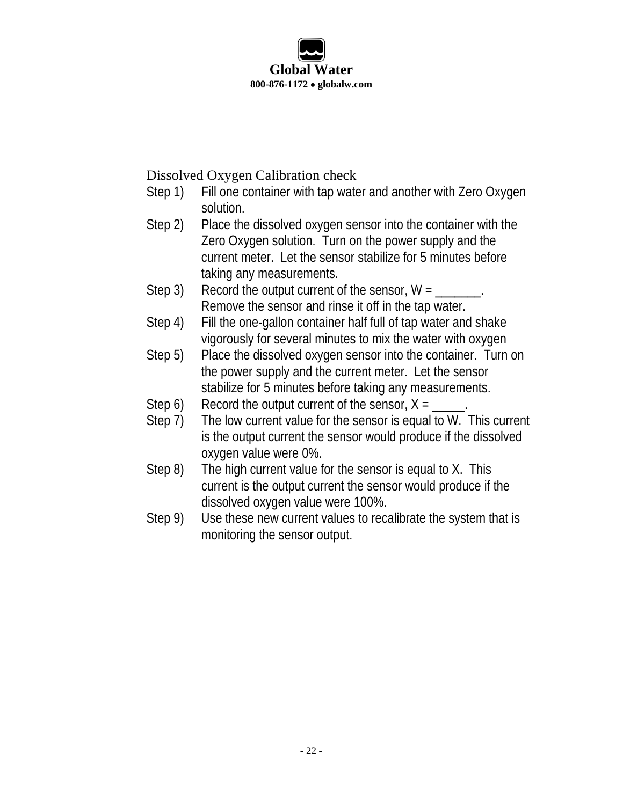

Dissolved Oxygen Calibration check

- Step 1) Fill one container with tap water and another with Zero Oxygen solution.
- Step 2) Place the dissolved oxygen sensor into the container with the Zero Oxygen solution. Turn on the power supply and the current meter. Let the sensor stabilize for 5 minutes before taking any measurements.
- Step 3) Record the output current of the sensor,  $W = \$ Remove the sensor and rinse it off in the tap water.
- Step 4) Fill the one-gallon container half full of tap water and shake vigorously for several minutes to mix the water with oxygen
- Step 5) Place the dissolved oxygen sensor into the container. Turn on the power supply and the current meter. Let the sensor stabilize for 5 minutes before taking any measurements.
- Step 6) Record the output current of the sensor,  $X = \_$
- Step 7) The low current value for the sensor is equal to W. This current is the output current the sensor would produce if the dissolved oxygen value were 0%.
- Step 8) The high current value for the sensor is equal to X. This current is the output current the sensor would produce if the dissolved oxygen value were 100%.
- Step 9) Use these new current values to recalibrate the system that is monitoring the sensor output.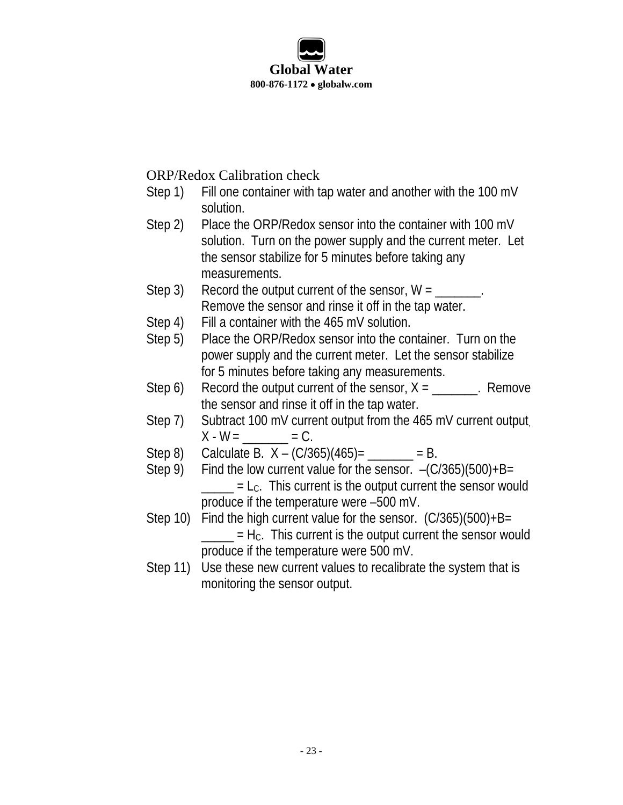

ORP/Redox Calibration check

- Step 1) Fill one container with tap water and another with the 100 mV solution.
- Step 2) Place the ORP/Redox sensor into the container with 100 mV solution. Turn on the power supply and the current meter. Let the sensor stabilize for 5 minutes before taking any measurements.
- Step 3) Record the output current of the sensor,  $W = \$ Remove the sensor and rinse it off in the tap water.
- Step 4) Fill a container with the 465 mV solution.
- Step 5) Place the ORP/Redox sensor into the container. Turn on the power supply and the current meter. Let the sensor stabilize for 5 minutes before taking any measurements.
- Step 6) Record the output current of the sensor,  $X =$  \_\_\_\_\_\_. Remove the sensor and rinse it off in the tap water.
- Step 7) Subtract 100 mV current output from the 465 mV current output  $X - W =$   $= C$ .
- Step 8) Calculate B.  $X (C/365)(465) =$  \_\_\_\_\_\_\_ = B.
- Step 9) Find the low current value for the sensor.  $-(C/365)(500)+B=$  $_$  = L<sub>C</sub>. This current is the output current the sensor would produce if the temperature were –500 mV.
- Step 10) Find the high current value for the sensor. (C/365)(500)+B=  $\frac{1}{1}$  = Hc. This current is the output current the sensor would produce if the temperature were 500 mV.
- Step 11) Use these new current values to recalibrate the system that is monitoring the sensor output.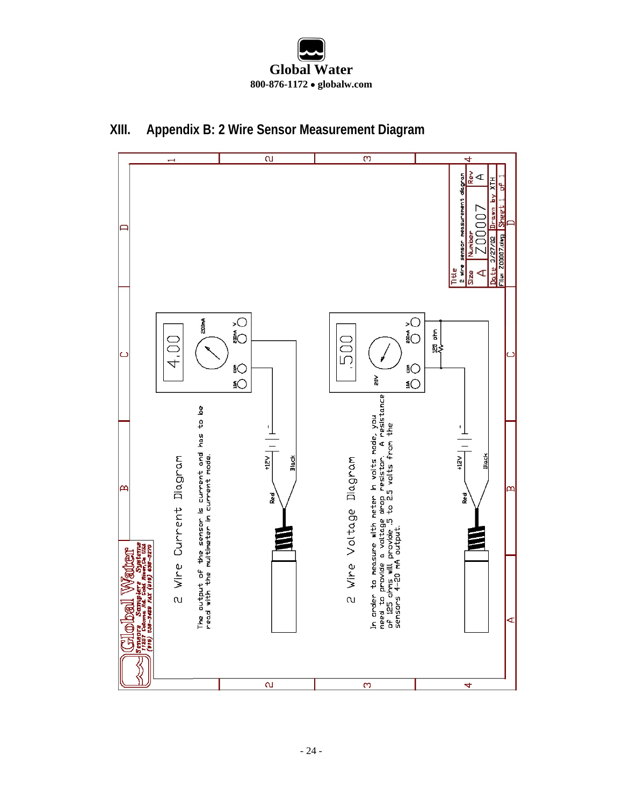



#### **XIII. Appendix B: 2 Wire Sensor Measurement Diagram**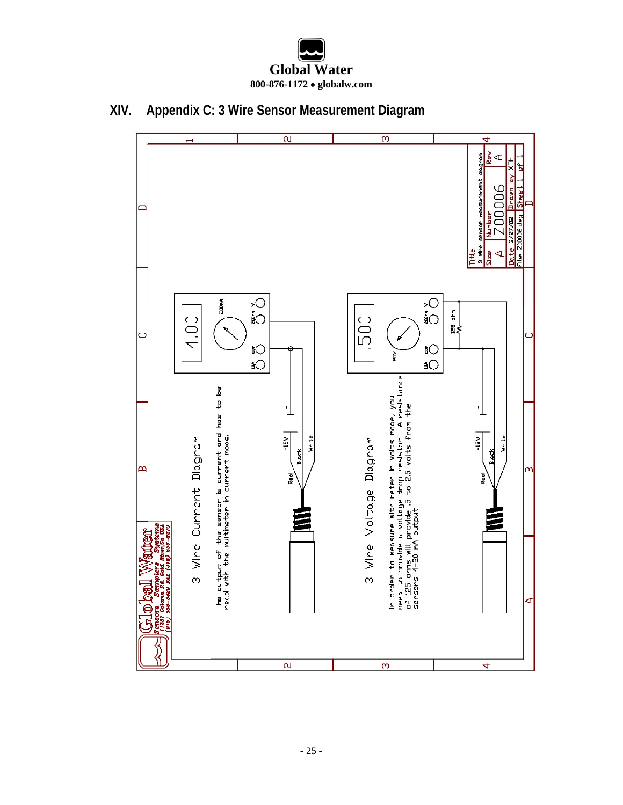